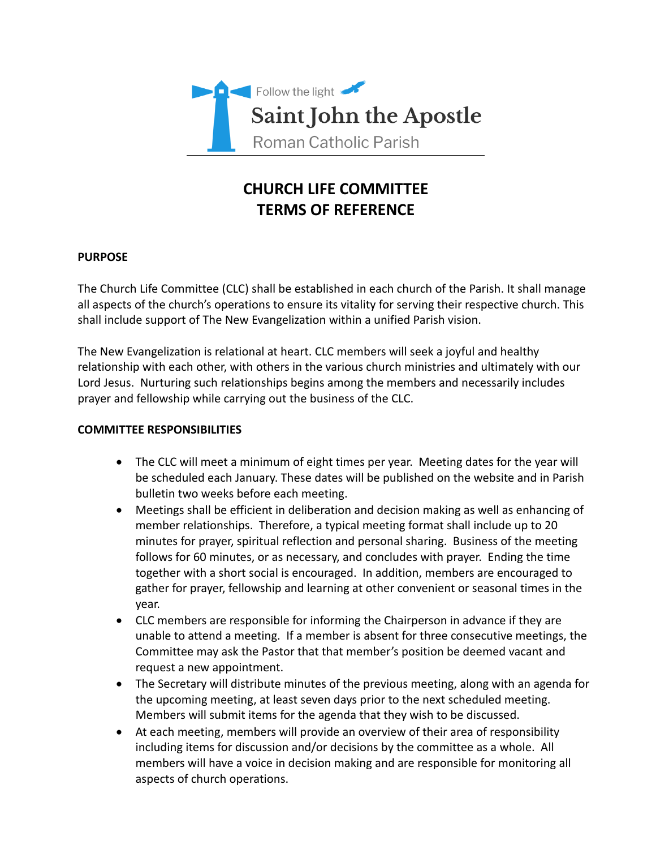

# **CHURCH LIFE COMMITTEE TERMS OF REFERENCE**

## **PURPOSE**

The Church Life Committee (CLC) shall be established in each church of the Parish. It shall manage all aspects of the church's operations to ensure its vitality for serving their respective church. This shall include support of The New Evangelization within a unified Parish vision.

The New Evangelization is relational at heart. CLC members will seek a joyful and healthy relationship with each other, with others in the various church ministries and ultimately with our Lord Jesus. Nurturing such relationships begins among the members and necessarily includes prayer and fellowship while carrying out the business of the CLC.

## **COMMITTEE RESPONSIBILITIES**

- The CLC will meet a minimum of eight times per year. Meeting dates for the year will be scheduled each January. These dates will be published on the website and in Parish bulletin two weeks before each meeting.
- Meetings shall be efficient in deliberation and decision making as well as enhancing of member relationships. Therefore, a typical meeting format shall include up to 20 minutes for prayer, spiritual reflection and personal sharing. Business of the meeting follows for 60 minutes, or as necessary, and concludes with prayer. Ending the time together with a short social is encouraged. In addition, members are encouraged to gather for prayer, fellowship and learning at other convenient or seasonal times in the year.
- CLC members are responsible for informing the Chairperson in advance if they are unable to attend a meeting. If a member is absent for three consecutive meetings, the Committee may ask the Pastor that that member's position be deemed vacant and request a new appointment.
- The Secretary will distribute minutes of the previous meeting, along with an agenda for the upcoming meeting, at least seven days prior to the next scheduled meeting. Members will submit items for the agenda that they wish to be discussed.
- At each meeting, members will provide an overview of their area of responsibility including items for discussion and/or decisions by the committee as a whole. All members will have a voice in decision making and are responsible for monitoring all aspects of church operations.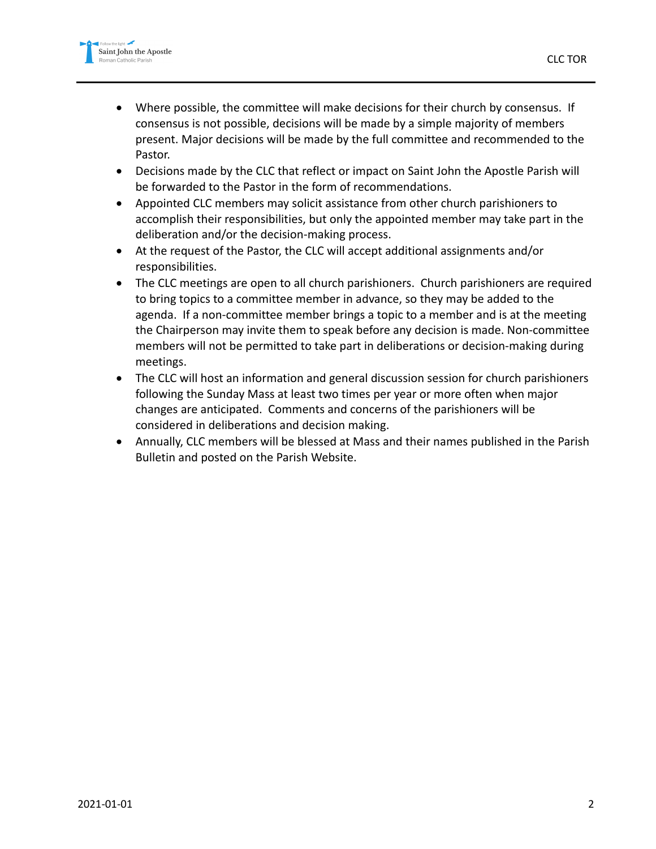

- Where possible, the committee will make decisions for their church by consensus. If consensus is not possible, decisions will be made by a simple majority of members present. Major decisions will be made by the full committee and recommended to the Pastor.
- Decisions made by the CLC that reflect or impact on Saint John the Apostle Parish will be forwarded to the Pastor in the form of recommendations.
- Appointed CLC members may solicit assistance from other church parishioners to accomplish their responsibilities, but only the appointed member may take part in the deliberation and/or the decision-making process.
- At the request of the Pastor, the CLC will accept additional assignments and/or responsibilities.
- The CLC meetings are open to all church parishioners. Church parishioners are required to bring topics to a committee member in advance, so they may be added to the agenda. If a non-committee member brings a topic to a member and is at the meeting the Chairperson may invite them to speak before any decision is made. Non-committee members will not be permitted to take part in deliberations or decision-making during meetings.
- The CLC will host an information and general discussion session for church parishioners following the Sunday Mass at least two times per year or more often when major changes are anticipated. Comments and concerns of the parishioners will be considered in deliberations and decision making.
- Annually, CLC members will be blessed at Mass and their names published in the Parish Bulletin and posted on the Parish Website.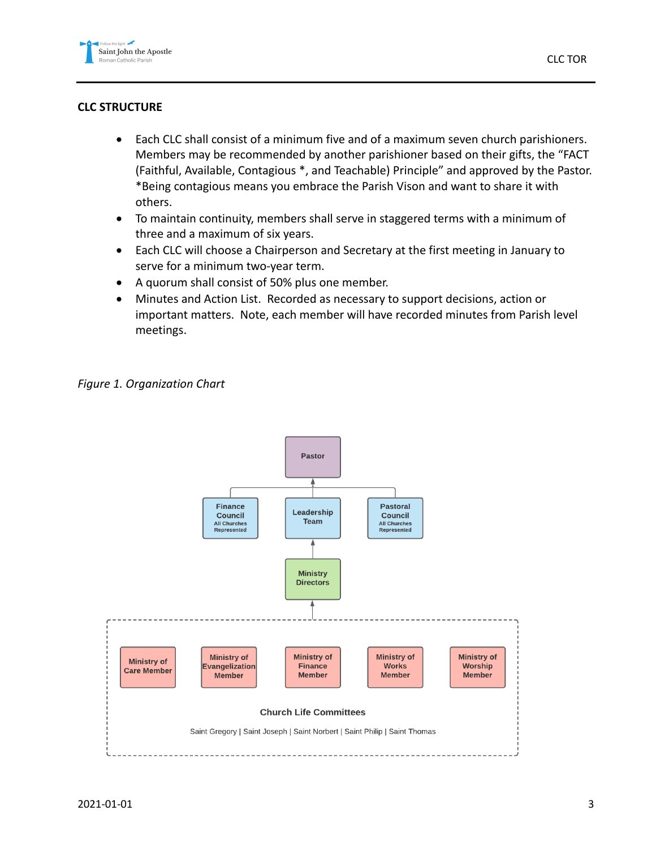## **CLC STRUCTURE**

- Each CLC shall consist of a minimum five and of a maximum seven church parishioners. Members may be recommended by another parishioner based on their gifts, the "FACT (Faithful, Available, Contagious \*, and Teachable) Principle" and approved by the Pastor. \*Being contagious means you embrace the Parish Vison and want to share it with others.
- To maintain continuity, members shall serve in staggered terms with a minimum of three and a maximum of six years.
- Each CLC will choose a Chairperson and Secretary at the first meeting in January to serve for a minimum two-year term.
- A quorum shall consist of 50% plus one member.
- Minutes and Action List. Recorded as necessary to support decisions, action or important matters. Note, each member will have recorded minutes from Parish level meetings.

*Figure 1. Organization Chart*

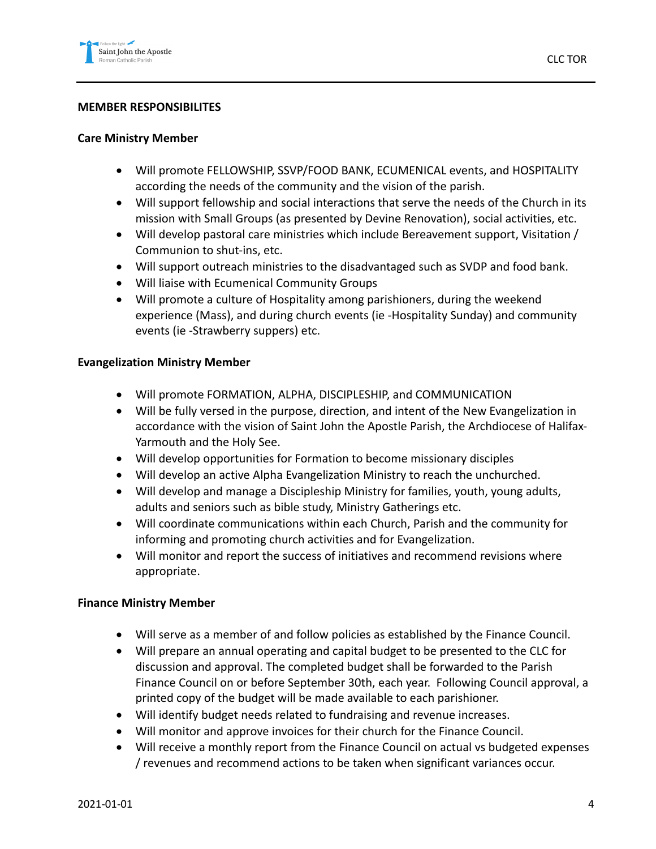### **MEMBER RESPONSIBILITES**

#### **Care Ministry Member**

- Will promote FELLOWSHIP, SSVP/FOOD BANK, ECUMENICAL events, and HOSPITALITY according the needs of the community and the vision of the parish.
- Will support fellowship and social interactions that serve the needs of the Church in its mission with Small Groups (as presented by Devine Renovation), social activities, etc.
- Will develop pastoral care ministries which include Bereavement support, Visitation / Communion to shut-ins, etc.
- Will support outreach ministries to the disadvantaged such as SVDP and food bank.
- Will liaise with Ecumenical Community Groups
- Will promote a culture of Hospitality among parishioners, during the weekend experience (Mass), and during church events (ie -Hospitality Sunday) and community events (ie -Strawberry suppers) etc.

#### **Evangelization Ministry Member**

- Will promote FORMATION, ALPHA, DISCIPLESHIP, and COMMUNICATION
- Will be fully versed in the purpose, direction, and intent of the New Evangelization in accordance with the vision of Saint John the Apostle Parish, the Archdiocese of Halifax-Yarmouth and the Holy See.
- Will develop opportunities for Formation to become missionary disciples
- Will develop an active Alpha Evangelization Ministry to reach the unchurched.
- Will develop and manage a Discipleship Ministry for families, youth, young adults, adults and seniors such as bible study, Ministry Gatherings etc.
- Will coordinate communications within each Church, Parish and the community for informing and promoting church activities and for Evangelization.
- Will monitor and report the success of initiatives and recommend revisions where appropriate.

### **Finance Ministry Member**

- Will serve as a member of and follow policies as established by the Finance Council.
- Will prepare an annual operating and capital budget to be presented to the CLC for discussion and approval. The completed budget shall be forwarded to the Parish Finance Council on or before September 30th, each year. Following Council approval, a printed copy of the budget will be made available to each parishioner.
- Will identify budget needs related to fundraising and revenue increases.
- Will monitor and approve invoices for their church for the Finance Council.
- Will receive a monthly report from the Finance Council on actual vs budgeted expenses / revenues and recommend actions to be taken when significant variances occur.